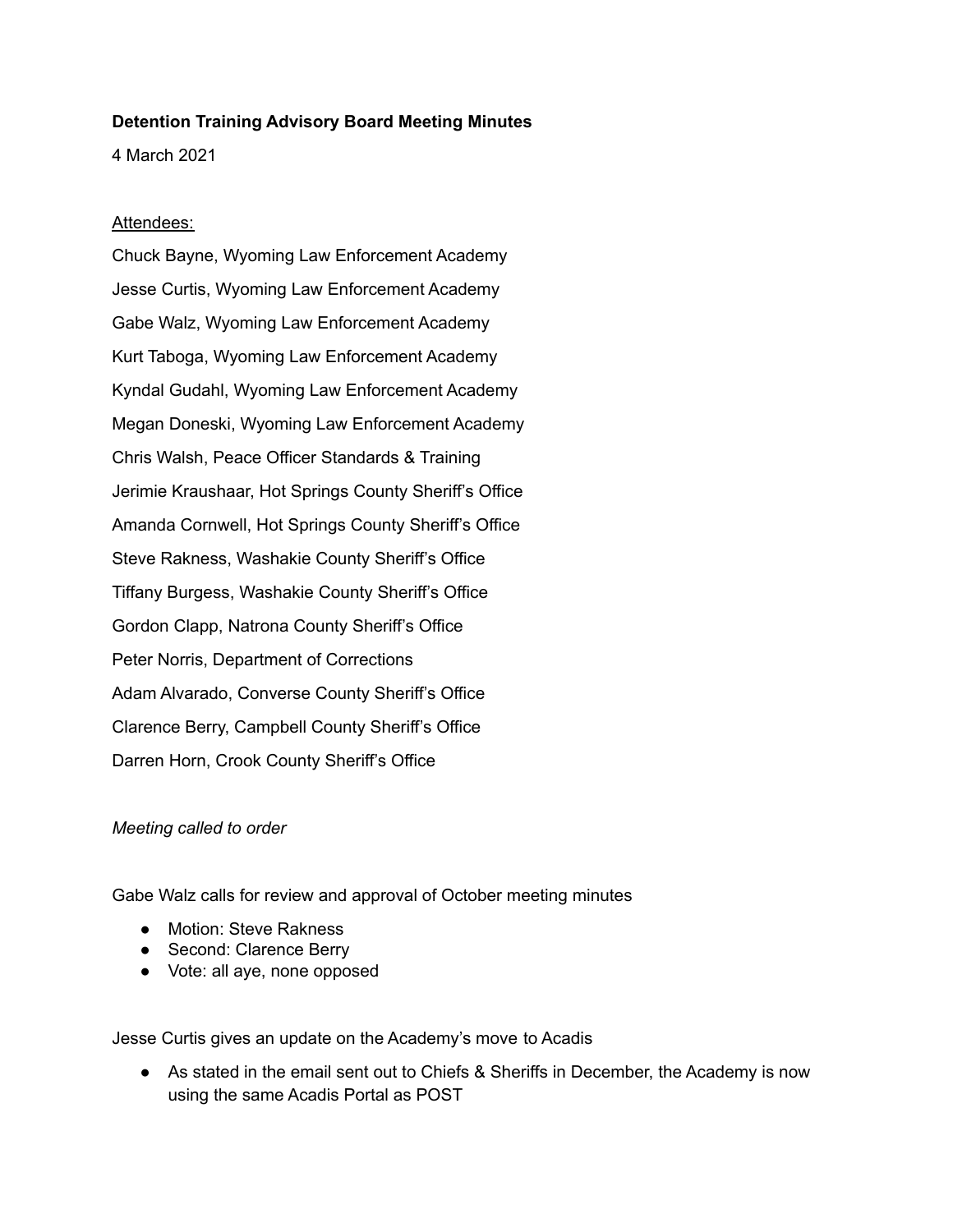## **Detention Training Advisory Board Meeting Minutes**

4 March 2021

## Attendees:

Chuck Bayne, Wyoming Law Enforcement Academy Jesse Curtis, Wyoming Law Enforcement Academy Gabe Walz, Wyoming Law Enforcement Academy Kurt Taboga, Wyoming Law Enforcement Academy Kyndal Gudahl, Wyoming Law Enforcement Academy Megan Doneski, Wyoming Law Enforcement Academy Chris Walsh, Peace Officer Standards & Training Jerimie Kraushaar, Hot Springs County Sheriff's Office Amanda Cornwell, Hot Springs County Sheriff's Office Steve Rakness, Washakie County Sheriff's Office Tiffany Burgess, Washakie County Sheriff's Office Gordon Clapp, Natrona County Sheriff's Office Peter Norris, Department of Corrections Adam Alvarado, Converse County Sheriff's Office Clarence Berry, Campbell County Sheriff's Office Darren Horn, Crook County Sheriff's Office

## *Meeting called to order*

Gabe Walz calls for review and approval of October meeting minutes

- Motion: Steve Rakness
- Second: Clarence Berry
- Vote: all aye, none opposed

Jesse Curtis gives an update on the Academy's move to Acadis

• As stated in the email sent out to Chiefs & Sheriffs in December, the Academy is now using the same Acadis Portal as POST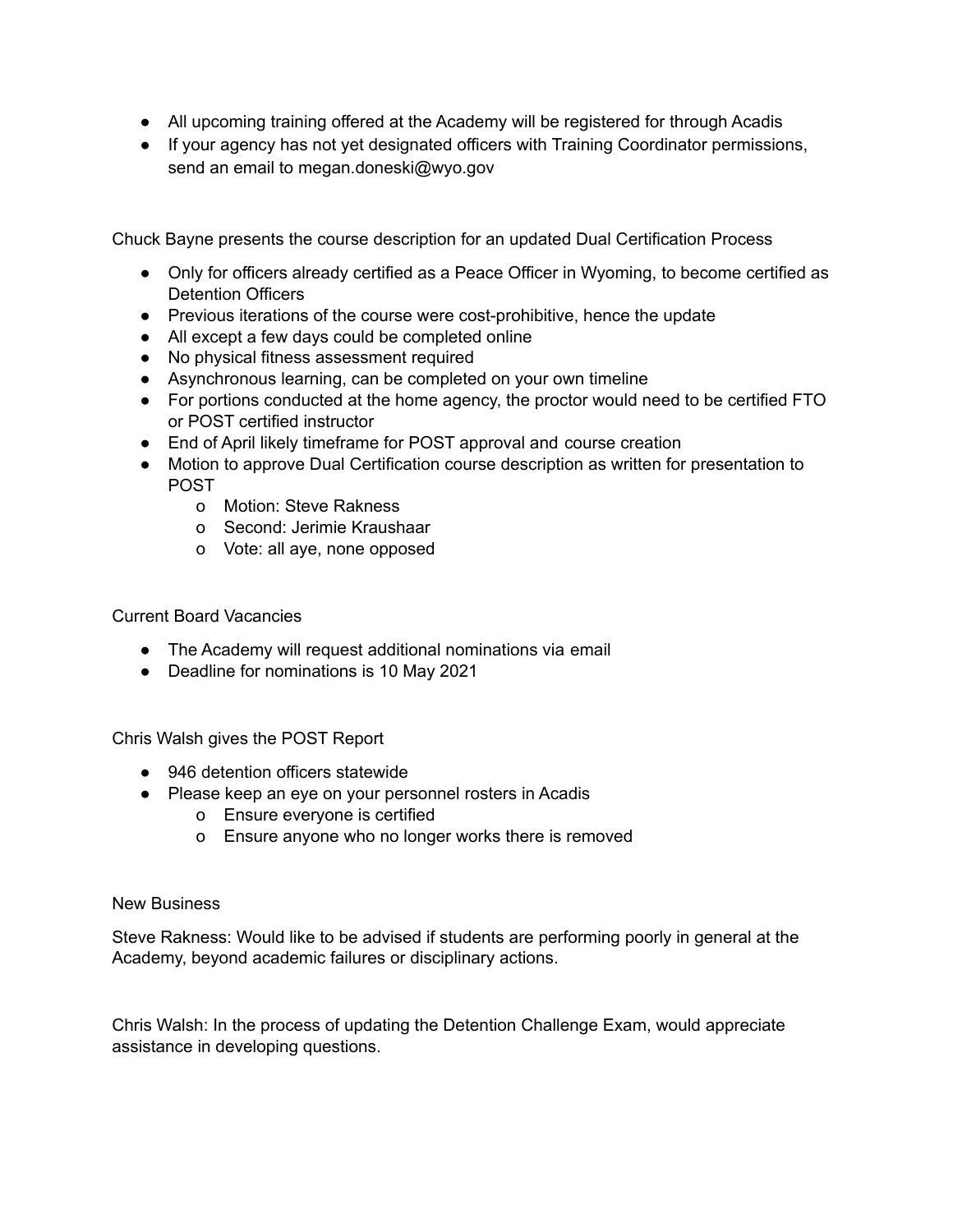- All upcoming training offered at the Academy will be registered for through Acadis
- If your agency has not yet designated officers with Training Coordinator permissions, send an email to megan.doneski@wyo.gov

Chuck Bayne presents the course description for an updated Dual Certification Process

- Only for officers already certified as a Peace Officer in Wyoming, to become certified as Detention Officers
- Previous iterations of the course were cost-prohibitive, hence the update
- All except a few days could be completed online
- No physical fitness assessment required
- Asynchronous learning, can be completed on your own timeline
- For portions conducted at the home agency, the proctor would need to be certified FTO or POST certified instructor
- End of April likely timeframe for POST approval and course creation
- Motion to approve Dual Certification course description as written for presentation to POST
	- o Motion: Steve Rakness
	- o Second: Jerimie Kraushaar
	- o Vote: all aye, none opposed

Current Board Vacancies

- The Academy will request additional nominations via email
- Deadline for nominations is 10 May 2021

Chris Walsh gives the POST Report

- 946 detention officers statewide
- Please keep an eye on your personnel rosters in Acadis
	- o Ensure everyone is certified
	- o Ensure anyone who no longer works there is removed

## New Business

Steve Rakness: Would like to be advised if students are performing poorly in general at the Academy, beyond academic failures or disciplinary actions.

Chris Walsh: In the process of updating the Detention Challenge Exam, would appreciate assistance in developing questions.